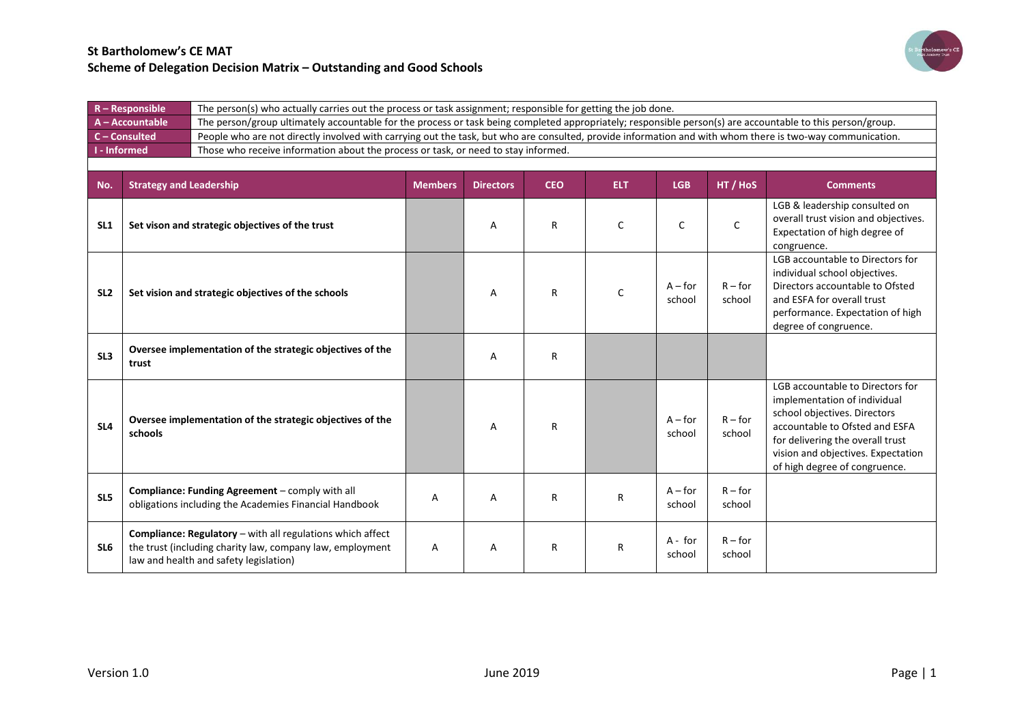

|                     | $R -$ Responsible              | The person(s) who actually carries out the process or task assignment; responsible for getting the job done.                                                      |                |                  |            |            |                     |                     |                                                                                                                                                                                                                                               |  |  |
|---------------------|--------------------------------|-------------------------------------------------------------------------------------------------------------------------------------------------------------------|----------------|------------------|------------|------------|---------------------|---------------------|-----------------------------------------------------------------------------------------------------------------------------------------------------------------------------------------------------------------------------------------------|--|--|
|                     | A - Accountable                | The person/group ultimately accountable for the process or task being completed appropriately; responsible person(s) are accountable to this person/group.        |                |                  |            |            |                     |                     |                                                                                                                                                                                                                                               |  |  |
|                     | C - Consulted                  | People who are not directly involved with carrying out the task, but who are consulted, provide information and with whom there is two-way communication.         |                |                  |            |            |                     |                     |                                                                                                                                                                                                                                               |  |  |
| <b>I</b> - Informed |                                | Those who receive information about the process or task, or need to stay informed.                                                                                |                |                  |            |            |                     |                     |                                                                                                                                                                                                                                               |  |  |
|                     |                                |                                                                                                                                                                   |                |                  |            |            |                     |                     |                                                                                                                                                                                                                                               |  |  |
| No.                 | <b>Strategy and Leadership</b> |                                                                                                                                                                   | <b>Members</b> | <b>Directors</b> | <b>CEO</b> | <b>ELT</b> | <b>LGB</b>          | HT / HoS            | <b>Comments</b>                                                                                                                                                                                                                               |  |  |
| SL <sub>1</sub>     |                                | Set vison and strategic objectives of the trust                                                                                                                   |                | Α                | R          | C          | C                   | $\mathsf{C}$        | LGB & leadership consulted on<br>overall trust vision and objectives.<br>Expectation of high degree of<br>congruence.                                                                                                                         |  |  |
| SL <sub>2</sub>     |                                | Set vision and strategic objectives of the schools                                                                                                                |                | А                | R          | $\Gamma$   | $A$ – for<br>school | $R$ – for<br>school | LGB accountable to Directors for<br>individual school objectives.<br>Directors accountable to Ofsted<br>and ESFA for overall trust<br>performance. Expectation of high<br>degree of congruence.                                               |  |  |
| SL3                 | trust                          | Oversee implementation of the strategic objectives of the                                                                                                         |                | A                | R          |            |                     |                     |                                                                                                                                                                                                                                               |  |  |
| SL <sub>4</sub>     | schools                        | Oversee implementation of the strategic objectives of the                                                                                                         |                | A                | R          |            | $A$ – for<br>school | $R$ – for<br>school | LGB accountable to Directors for<br>implementation of individual<br>school objectives. Directors<br>accountable to Ofsted and ESFA<br>for delivering the overall trust<br>vision and objectives. Expectation<br>of high degree of congruence. |  |  |
| SL5                 |                                | Compliance: Funding Agreement - comply with all<br>obligations including the Academies Financial Handbook                                                         | Α              | А                | R          | R          | $A$ – for<br>school | $R$ – for<br>school |                                                                                                                                                                                                                                               |  |  |
| SL <sub>6</sub>     |                                | Compliance: Regulatory - with all regulations which affect<br>the trust (including charity law, company law, employment<br>law and health and safety legislation) | A              | Α                | R          | R          | $A - for$<br>school | $R$ – for<br>school |                                                                                                                                                                                                                                               |  |  |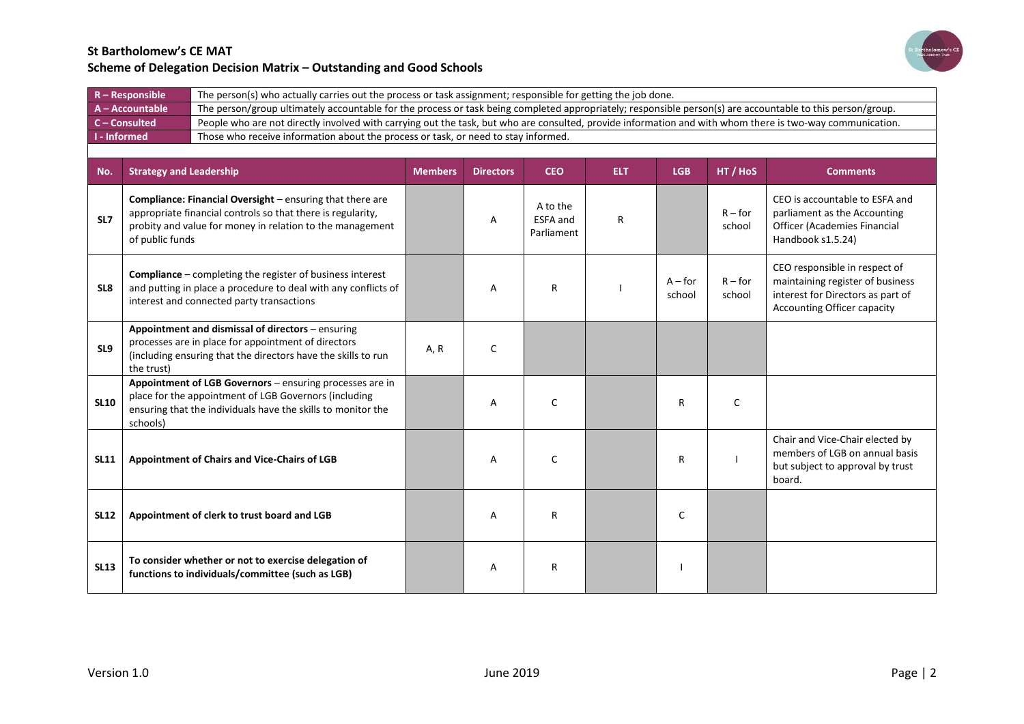

|             | $R -$ Responsible              | The person(s) who actually carries out the process or task assignment; responsible for getting the job done.                                                                                 |                |                  |                                           |            |                     |                     |                                                                                                                                              |  |
|-------------|--------------------------------|----------------------------------------------------------------------------------------------------------------------------------------------------------------------------------------------|----------------|------------------|-------------------------------------------|------------|---------------------|---------------------|----------------------------------------------------------------------------------------------------------------------------------------------|--|
|             | A - Accountable                | The person/group ultimately accountable for the process or task being completed appropriately; responsible person(s) are accountable to this person/group.                                   |                |                  |                                           |            |                     |                     |                                                                                                                                              |  |
|             | C - Consulted                  | People who are not directly involved with carrying out the task, but who are consulted, provide information and with whom there is two-way communication.                                    |                |                  |                                           |            |                     |                     |                                                                                                                                              |  |
|             | I - Informed                   | Those who receive information about the process or task, or need to stay informed.                                                                                                           |                |                  |                                           |            |                     |                     |                                                                                                                                              |  |
|             |                                |                                                                                                                                                                                              |                |                  |                                           |            |                     |                     |                                                                                                                                              |  |
| No.         | <b>Strategy and Leadership</b> |                                                                                                                                                                                              | <b>Members</b> | <b>Directors</b> | <b>CEO</b>                                | <b>ELT</b> | <b>LGB</b>          | HT / HoS            | <b>Comments</b>                                                                                                                              |  |
| SL7         | of public funds                | <b>Compliance: Financial Oversight</b> – ensuring that there are<br>appropriate financial controls so that there is regularity,<br>probity and value for money in relation to the management |                | Α                | A to the<br><b>ESFA</b> and<br>Parliament | R          |                     | $R$ – for<br>school | CEO is accountable to ESFA and<br>parliament as the Accounting<br>Officer (Academies Financial<br>Handbook s1.5.24)                          |  |
| SL8         |                                | <b>Compliance</b> – completing the register of business interest<br>and putting in place a procedure to deal with any conflicts of<br>interest and connected party transactions              |                | A                | R                                         |            | $A$ – for<br>school | $R$ – for<br>school | CEO responsible in respect of<br>maintaining register of business<br>interest for Directors as part of<br><b>Accounting Officer capacity</b> |  |
| SL9         | the trust)                     | Appointment and dismissal of directors - ensuring<br>processes are in place for appointment of directors<br>(including ensuring that the directors have the skills to run                    | A, R           | C                |                                           |            |                     |                     |                                                                                                                                              |  |
| <b>SL10</b> | schools)                       | Appointment of LGB Governors - ensuring processes are in<br>place for the appointment of LGB Governors (including<br>ensuring that the individuals have the skills to monitor the            |                | A                | C                                         |            | R                   | C                   |                                                                                                                                              |  |
| <b>SL11</b> |                                | Appointment of Chairs and Vice-Chairs of LGB                                                                                                                                                 |                | A                | $\mathsf{C}$                              |            | R                   |                     | Chair and Vice-Chair elected by<br>members of LGB on annual basis<br>but subject to approval by trust<br>board.                              |  |
| <b>SL12</b> |                                | Appointment of clerk to trust board and LGB                                                                                                                                                  |                | A                | R                                         |            | C                   |                     |                                                                                                                                              |  |
| <b>SL13</b> |                                | To consider whether or not to exercise delegation of<br>functions to individuals/committee (such as LGB)                                                                                     |                | A                | R                                         |            |                     |                     |                                                                                                                                              |  |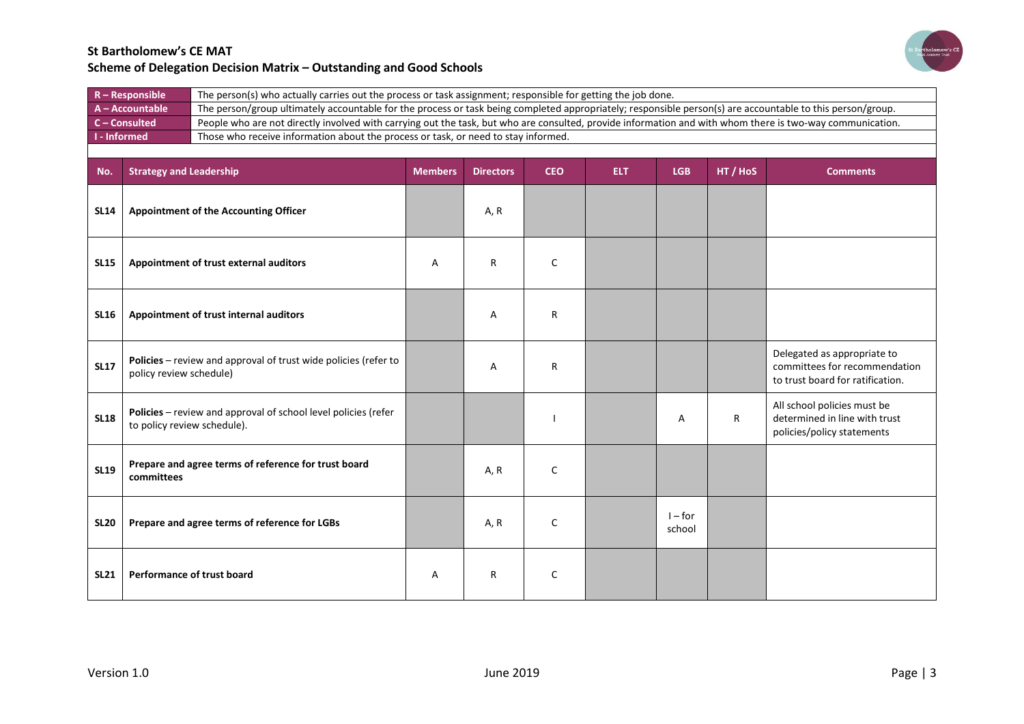

| $R -$ Responsible   | The person(s) who actually carries out the process or task assignment; responsible for getting the job done.                                               |
|---------------------|------------------------------------------------------------------------------------------------------------------------------------------------------------|
| A - Accountable     | The person/group ultimately accountable for the process or task being completed appropriately; responsible person(s) are accountable to this person/group. |
| $C$ – Consulted     | People who are not directly involved with carrying out the task, but who are consulted, provide information and with whom there is two-way communication.  |
| <b>I</b> - Informed | Those who receive information about the process or task, or need to stay informed.                                                                         |
|                     |                                                                                                                                                            |

| No.         | <b>Strategy and Leadership</b>                                                                | <b>Members</b> | <b>Directors</b> | <b>CEO</b> | <b>ELT</b> | <b>LGB</b>          | HT / HoS | <b>Comments</b>                                                                                  |
|-------------|-----------------------------------------------------------------------------------------------|----------------|------------------|------------|------------|---------------------|----------|--------------------------------------------------------------------------------------------------|
| <b>SL14</b> | <b>Appointment of the Accounting Officer</b>                                                  |                | A, R             |            |            |                     |          |                                                                                                  |
| <b>SL15</b> | Appointment of trust external auditors                                                        | А              | $\mathsf{R}$     | C          |            |                     |          |                                                                                                  |
| <b>SL16</b> | Appointment of trust internal auditors                                                        |                | A                | R          |            |                     |          |                                                                                                  |
| <b>SL17</b> | Policies - review and approval of trust wide policies (refer to<br>policy review schedule)    |                | A                | R          |            |                     |          | Delegated as appropriate to<br>committees for recommendation<br>to trust board for ratification. |
| <b>SL18</b> | Policies - review and approval of school level policies (refer<br>to policy review schedule). |                |                  |            |            | A                   | R        | All school policies must be<br>determined in line with trust<br>policies/policy statements       |
| <b>SL19</b> | Prepare and agree terms of reference for trust board<br>committees                            |                | A, R             | C          |            |                     |          |                                                                                                  |
| <b>SL20</b> | Prepare and agree terms of reference for LGBs                                                 |                | A, R             | C          |            | $I$ – for<br>school |          |                                                                                                  |
| <b>SL21</b> | Performance of trust board                                                                    | Α              | $\mathsf{R}$     | C          |            |                     |          |                                                                                                  |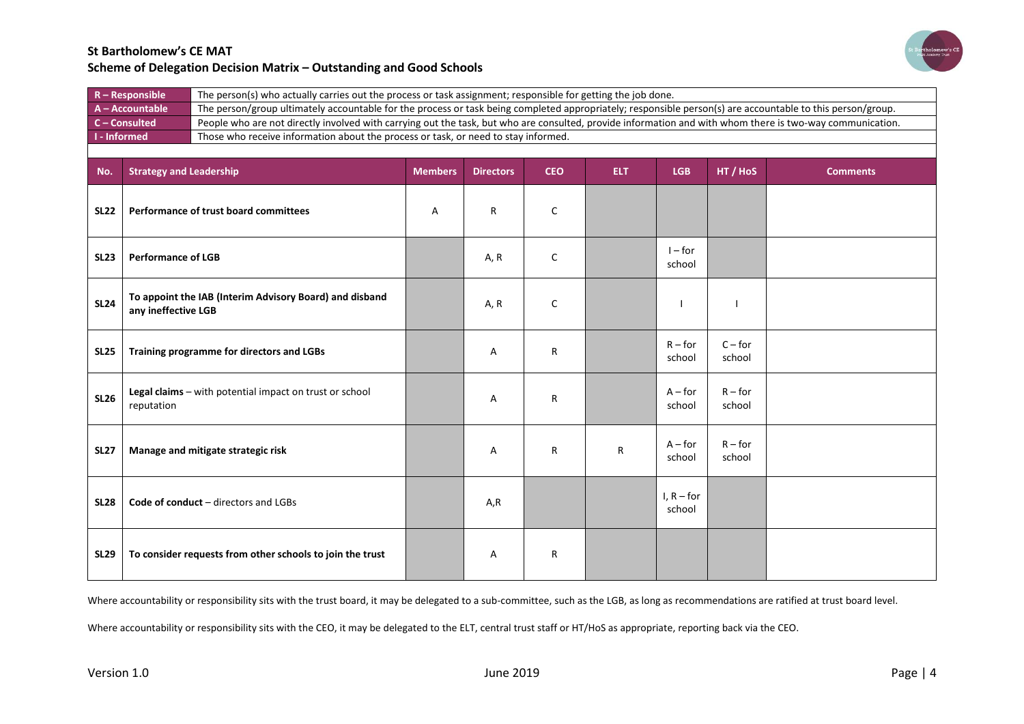

| $R -$ Responsible           | The person(s) who actually carries out the process or task assignment; responsible for getting the job done.                                               |
|-----------------------------|------------------------------------------------------------------------------------------------------------------------------------------------------------|
| $A - Accountable$           | The person/group ultimately accountable for the process or task being completed appropriately; responsible person(s) are accountable to this person/group. |
| $C$ – Consulted             | People who are not directly involved with carrying out the task, but who are consulted, provide information and with whom there is two-way communication.  |
| $\blacksquare$ I - Informed | Those who receive information about the process or task, or need to stay informed.                                                                         |
|                             |                                                                                                                                                            |

| No.         | <b>Strategy and Leadership</b>                                                 | <b>Members</b> | <b>Directors</b> | <b>CEO</b> | ELT. | <b>LGB</b>             | HT / HoS            | <b>Comments</b> |
|-------------|--------------------------------------------------------------------------------|----------------|------------------|------------|------|------------------------|---------------------|-----------------|
| <b>SL22</b> | Performance of trust board committees                                          | Α              | R                | C          |      |                        |                     |                 |
| <b>SL23</b> | <b>Performance of LGB</b>                                                      |                | A, R             | C          |      | $I$ – for<br>school    |                     |                 |
| <b>SL24</b> | To appoint the IAB (Interim Advisory Board) and disband<br>any ineffective LGB |                | A, R             | C          |      |                        |                     |                 |
| <b>SL25</b> | Training programme for directors and LGBs                                      |                | Α                | R          |      | $R$ – for<br>school    | $C$ – for<br>school |                 |
| <b>SL26</b> | Legal claims - with potential impact on trust or school<br>reputation          |                | Α                | R          |      | $A$ – for<br>school    | $R$ – for<br>school |                 |
| <b>SL27</b> | Manage and mitigate strategic risk                                             |                | Α                | R          | R    | $A$ – for<br>school    | $R$ – for<br>school |                 |
| <b>SL28</b> | <b>Code of conduct</b> – directors and LGBs                                    |                | A,R              |            |      | I, $R$ – for<br>school |                     |                 |
| <b>SL29</b> | To consider requests from other schools to join the trust                      |                | Α                | R          |      |                        |                     |                 |

Where accountability or responsibility sits with the trust board, it may be delegated to a sub-committee, such as the LGB, as long as recommendations are ratified at trust board level.

Where accountability or responsibility sits with the CEO, it may be delegated to the ELT, central trust staff or HT/HoS as appropriate, reporting back via the CEO.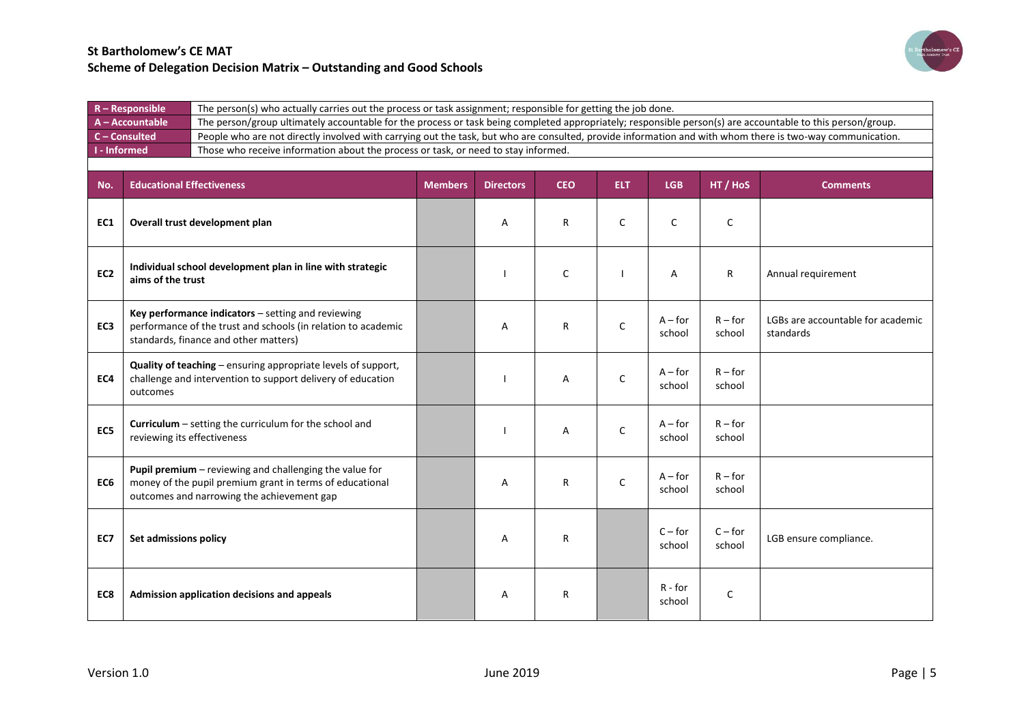

| $R -$ Responsible | The person(s) who actually carries out the process or task assignment; responsible for getting the job done.                                               |
|-------------------|------------------------------------------------------------------------------------------------------------------------------------------------------------|
| A - Accountable   | The person/group ultimately accountable for the process or task being completed appropriately; responsible person(s) are accountable to this person/group. |
| C-Consulted       | People who are not directly involved with carrying out the task, but who are consulted, provide information and with whom there is two-way communication.  |
| I - Informed      | Those who receive information about the process or task, or need to stay informed.                                                                         |
|                   |                                                                                                                                                            |

| No.             | <b>Educational Effectiveness</b>                                                                                                                                  | <b>Members</b> | <b>Directors</b> | <b>CEO</b> | <b>ELT</b>   | <b>LGB</b>          | HT / HoS            | <b>Comments</b>                                |
|-----------------|-------------------------------------------------------------------------------------------------------------------------------------------------------------------|----------------|------------------|------------|--------------|---------------------|---------------------|------------------------------------------------|
| EC1             | Overall trust development plan                                                                                                                                    |                | A                | R          | C            | $\mathsf{C}$        | $\mathsf{C}$        |                                                |
| EC <sub>2</sub> | Individual school development plan in line with strategic<br>aims of the trust                                                                                    |                |                  | C          |              | Α                   | R                   | Annual requirement                             |
| EC <sub>3</sub> | Key performance indicators - setting and reviewing<br>performance of the trust and schools (in relation to academic<br>standards, finance and other matters)      |                | A                | R          | C            | $A$ – for<br>school | $R$ – for<br>school | LGBs are accountable for academic<br>standards |
| EC4             | Quality of teaching - ensuring appropriate levels of support,<br>challenge and intervention to support delivery of education<br>outcomes                          |                |                  | Α          | $\mathsf{C}$ | $A$ – for<br>school | $R$ – for<br>school |                                                |
| EC5             | Curriculum - setting the curriculum for the school and<br>reviewing its effectiveness                                                                             |                |                  | Α          | C            | $A$ – for<br>school | $R$ – for<br>school |                                                |
| EC <sub>6</sub> | Pupil premium - reviewing and challenging the value for<br>money of the pupil premium grant in terms of educational<br>outcomes and narrowing the achievement gap |                | A                | R          | $\mathsf{C}$ | $A$ – for<br>school | $R$ – for<br>school |                                                |
| EC7             | Set admissions policy                                                                                                                                             |                | A                | R          |              | $C$ – for<br>school | $C$ – for<br>school | LGB ensure compliance.                         |
| EC8             | Admission application decisions and appeals                                                                                                                       |                | Α                | R          |              | R - for<br>school   | $\mathsf{C}$        |                                                |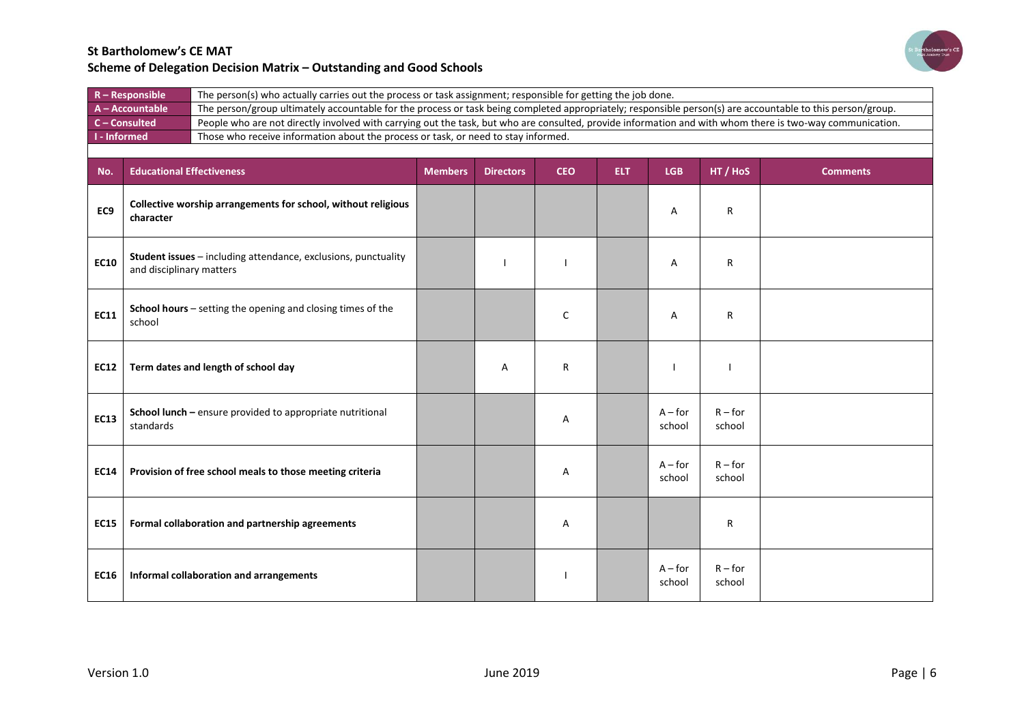

|                     | $R - Responsible$                | The person(s) who actually carries out the process or task assignment; responsible for getting the job done.                                               |                |                  |            |            |                     |                     |                 |  |
|---------------------|----------------------------------|------------------------------------------------------------------------------------------------------------------------------------------------------------|----------------|------------------|------------|------------|---------------------|---------------------|-----------------|--|
|                     | A - Accountable                  | The person/group ultimately accountable for the process or task being completed appropriately; responsible person(s) are accountable to this person/group. |                |                  |            |            |                     |                     |                 |  |
|                     | C-Consulted                      | People who are not directly involved with carrying out the task, but who are consulted, provide information and with whom there is two-way communication.  |                |                  |            |            |                     |                     |                 |  |
| <b>I</b> - Informed |                                  | Those who receive information about the process or task, or need to stay informed.                                                                         |                |                  |            |            |                     |                     |                 |  |
|                     |                                  |                                                                                                                                                            |                |                  |            |            |                     |                     |                 |  |
| No.                 | <b>Educational Effectiveness</b> |                                                                                                                                                            | <b>Members</b> | <b>Directors</b> | <b>CEO</b> | <b>ELT</b> | <b>LGB</b>          | HT / HoS            | <b>Comments</b> |  |
| EC9                 | character                        | Collective worship arrangements for school, without religious                                                                                              |                |                  |            |            | Α                   | R                   |                 |  |
| <b>EC10</b>         | and disciplinary matters         | Student issues - including attendance, exclusions, punctuality                                                                                             |                |                  |            |            | Α                   | R                   |                 |  |
| <b>EC11</b>         | school                           | School hours - setting the opening and closing times of the                                                                                                |                |                  | C          |            | Α                   | R                   |                 |  |
| <b>EC12</b>         |                                  | Term dates and length of school day                                                                                                                        |                | A                | R          |            |                     |                     |                 |  |
| <b>EC13</b>         | standards                        | School lunch - ensure provided to appropriate nutritional                                                                                                  |                |                  | Α          |            | $A$ – for<br>school | $R$ – for<br>school |                 |  |
| <b>EC14</b>         |                                  | Provision of free school meals to those meeting criteria                                                                                                   |                |                  | Α          |            | $A$ – for<br>school | $R$ – for<br>school |                 |  |
| <b>EC15</b>         |                                  | Formal collaboration and partnership agreements                                                                                                            |                |                  | Α          |            |                     | R                   |                 |  |
| <b>EC16</b>         |                                  | Informal collaboration and arrangements                                                                                                                    |                |                  |            |            | $A$ – for<br>school | $R$ – for<br>school |                 |  |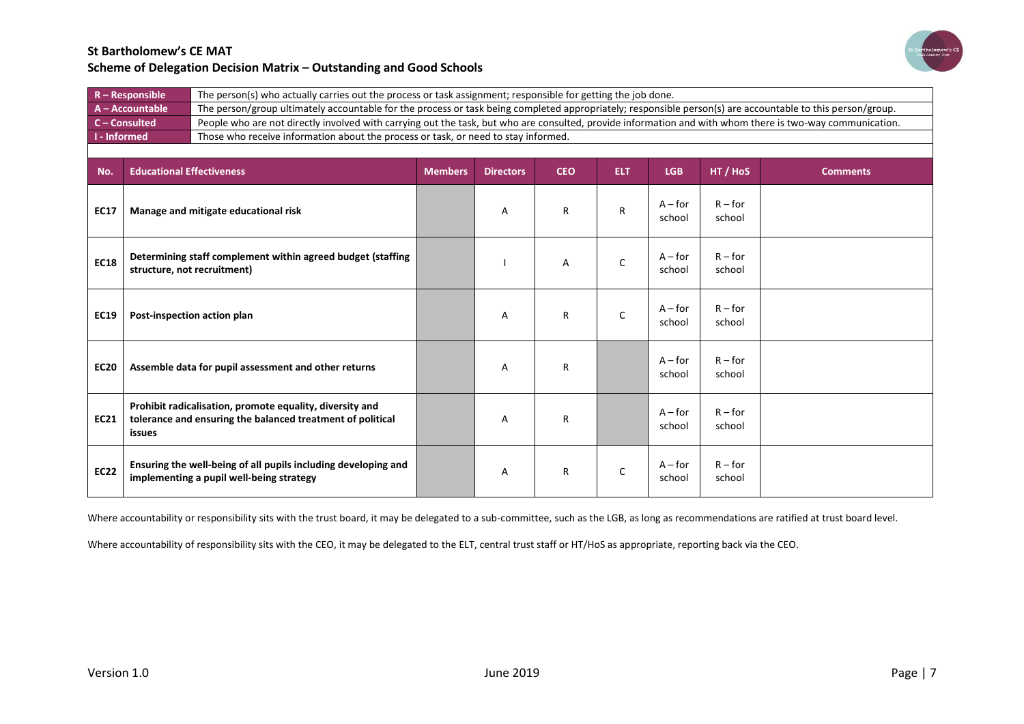

|                     | $R -$ Responsible                                                                          | The person(s) who actually carries out the process or task assignment; responsible for getting the job done.                                               |                |                                                                                                                                                           |            |            |                     |                     |                 |  |  |
|---------------------|--------------------------------------------------------------------------------------------|------------------------------------------------------------------------------------------------------------------------------------------------------------|----------------|-----------------------------------------------------------------------------------------------------------------------------------------------------------|------------|------------|---------------------|---------------------|-----------------|--|--|
|                     | A - Accountable                                                                            | The person/group ultimately accountable for the process or task being completed appropriately; responsible person(s) are accountable to this person/group. |                |                                                                                                                                                           |            |            |                     |                     |                 |  |  |
|                     | C - Consulted                                                                              |                                                                                                                                                            |                | People who are not directly involved with carrying out the task, but who are consulted, provide information and with whom there is two-way communication. |            |            |                     |                     |                 |  |  |
| <b>I</b> - Informed |                                                                                            | Those who receive information about the process or task, or need to stay informed.                                                                         |                |                                                                                                                                                           |            |            |                     |                     |                 |  |  |
|                     |                                                                                            |                                                                                                                                                            |                |                                                                                                                                                           |            |            |                     |                     |                 |  |  |
| No.                 | <b>Educational Effectiveness</b>                                                           |                                                                                                                                                            | <b>Members</b> | <b>Directors</b>                                                                                                                                          | <b>CEO</b> | <b>ELT</b> | <b>LGB</b>          | HT / HoS            | <b>Comments</b> |  |  |
| <b>EC17</b>         |                                                                                            | Manage and mitigate educational risk                                                                                                                       |                | Α                                                                                                                                                         | R          | R          | $A$ – for<br>school | $R$ – for<br>school |                 |  |  |
| <b>EC18</b>         | Determining staff complement within agreed budget (staffing<br>structure, not recruitment) |                                                                                                                                                            |                |                                                                                                                                                           | Α          | C          | $A$ – for<br>school | $R$ – for<br>school |                 |  |  |
| <b>EC19</b>         | Post-inspection action plan                                                                |                                                                                                                                                            |                | A                                                                                                                                                         | R          | C          | $A$ – for<br>school | $R$ – for<br>school |                 |  |  |
| <b>EC20</b>         | Assemble data for pupil assessment and other returns                                       |                                                                                                                                                            |                | A                                                                                                                                                         | R          |            | $A$ – for<br>school | $R$ – for<br>school |                 |  |  |
| <b>EC21</b>         | issues                                                                                     | Prohibit radicalisation, promote equality, diversity and<br>tolerance and ensuring the balanced treatment of political                                     |                | Α                                                                                                                                                         | R          |            | $A$ – for<br>school | $R$ – for<br>school |                 |  |  |
| <b>EC22</b>         |                                                                                            | Ensuring the well-being of all pupils including developing and<br>implementing a pupil well-being strategy                                                 |                | A                                                                                                                                                         | R          | C          | $A$ – for<br>school | $R$ – for<br>school |                 |  |  |

Where accountability or responsibility sits with the trust board, it may be delegated to a sub-committee, such as the LGB, as long as recommendations are ratified at trust board level.

Where accountability of responsibility sits with the CEO, it may be delegated to the ELT, central trust staff or HT/HoS as appropriate, reporting back via the CEO.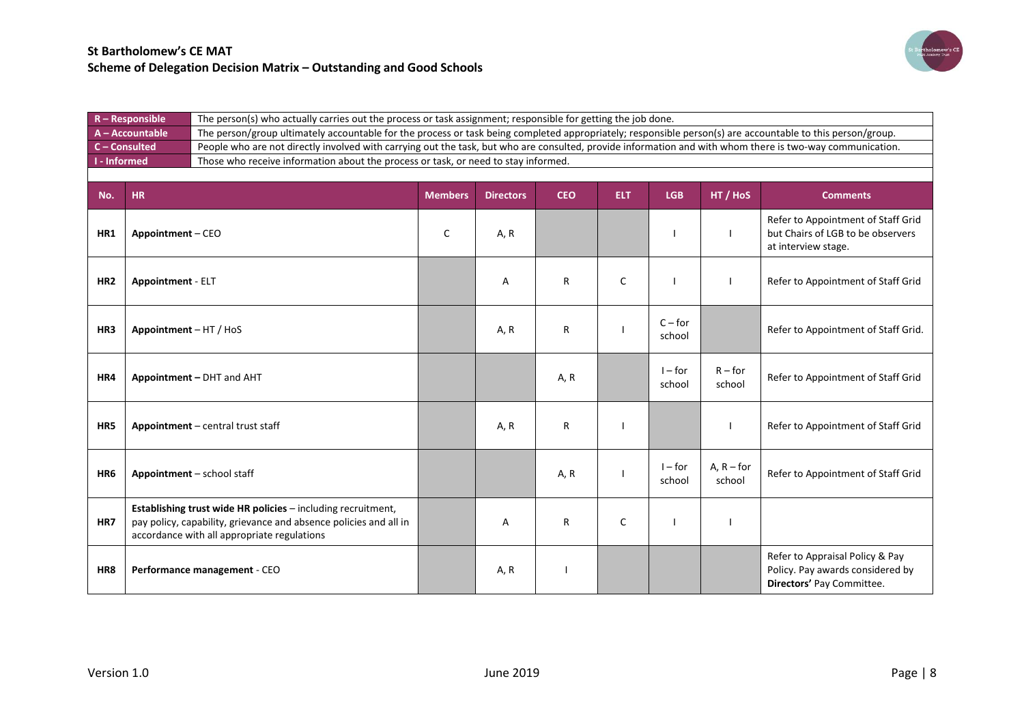

|                     | $R -$ Responsible        | The person(s) who actually carries out the process or task assignment; responsible for getting the job done.                                                                     |                |                  |            |            |                     |                        |                                                                                                  |  |  |
|---------------------|--------------------------|----------------------------------------------------------------------------------------------------------------------------------------------------------------------------------|----------------|------------------|------------|------------|---------------------|------------------------|--------------------------------------------------------------------------------------------------|--|--|
|                     | $A - Accountable$        | The person/group ultimately accountable for the process or task being completed appropriately; responsible person(s) are accountable to this person/group.                       |                |                  |            |            |                     |                        |                                                                                                  |  |  |
| $C$ – Consulted     |                          | People who are not directly involved with carrying out the task, but who are consulted, provide information and with whom there is two-way communication.                        |                |                  |            |            |                     |                        |                                                                                                  |  |  |
| <b>I</b> - Informed |                          | Those who receive information about the process or task, or need to stay informed.                                                                                               |                |                  |            |            |                     |                        |                                                                                                  |  |  |
|                     |                          |                                                                                                                                                                                  |                |                  |            |            |                     |                        |                                                                                                  |  |  |
|                     |                          |                                                                                                                                                                                  |                |                  |            |            |                     |                        |                                                                                                  |  |  |
| No.                 | <b>HR</b>                |                                                                                                                                                                                  | <b>Members</b> | <b>Directors</b> | <b>CEO</b> | <b>ELT</b> | <b>LGB</b>          | HT / HoS               | <b>Comments</b>                                                                                  |  |  |
| HR1                 | Appointment - CEO        |                                                                                                                                                                                  | $\mathsf{C}$   | A, R             |            |            |                     |                        | Refer to Appointment of Staff Grid<br>but Chairs of LGB to be observers<br>at interview stage.   |  |  |
| HR <sub>2</sub>     | <b>Appointment - ELT</b> |                                                                                                                                                                                  |                | A                | R          | C          |                     |                        | Refer to Appointment of Staff Grid                                                               |  |  |
| HR3                 | Appointment - HT / HoS   |                                                                                                                                                                                  |                | A, R             | R          |            | $C$ – for<br>school |                        | Refer to Appointment of Staff Grid.                                                              |  |  |
| HR4                 |                          | Appointment - DHT and AHT                                                                                                                                                        |                |                  | A, R       |            | $I$ – for<br>school | $R$ – for<br>school    | Refer to Appointment of Staff Grid                                                               |  |  |
| HR5                 |                          | Appointment - central trust staff                                                                                                                                                |                | A, R             | R          |            |                     |                        | Refer to Appointment of Staff Grid                                                               |  |  |
| HR6                 |                          | Appointment - school staff                                                                                                                                                       |                |                  | A, R       |            | $I$ – for<br>school | $A, R$ – for<br>school | Refer to Appointment of Staff Grid                                                               |  |  |
| HR7                 |                          | Establishing trust wide HR policies - including recruitment,<br>pay policy, capability, grievance and absence policies and all in<br>accordance with all appropriate regulations |                | A                | R          | C          |                     |                        |                                                                                                  |  |  |
| HR8                 |                          | Performance management - CEO                                                                                                                                                     |                | A, R             |            |            |                     |                        | Refer to Appraisal Policy & Pay<br>Policy. Pay awards considered by<br>Directors' Pay Committee. |  |  |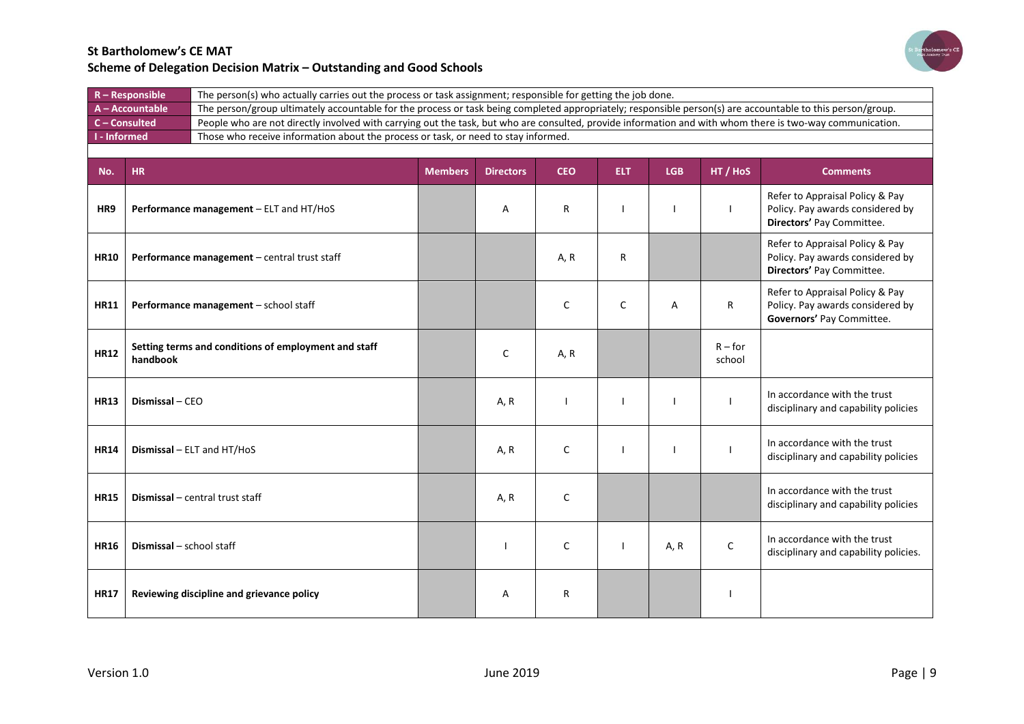

| $R -$ Responsible   | The person(s) who actually carries out the process or task assignment; responsible for getting the job done.                                               |
|---------------------|------------------------------------------------------------------------------------------------------------------------------------------------------------|
| $A - Accountable$   | The person/group ultimately accountable for the process or task being completed appropriately; responsible person(s) are accountable to this person/group. |
| $C$ – Consulted     | People who are not directly involved with carrying out the task, but who are consulted, provide information and with whom there is two-way communication.  |
| <b>I</b> - Informed | Those who receive information about the process or task, or need to stay informed.                                                                         |
|                     |                                                                                                                                                            |

| No.         | <b>HR</b>                                                        | <b>Members</b> | <b>Directors</b> | <b>CEO</b> | <b>ELT</b> | <b>LGB</b> | HT / HoS            | <b>Comments</b>                                                                                  |
|-------------|------------------------------------------------------------------|----------------|------------------|------------|------------|------------|---------------------|--------------------------------------------------------------------------------------------------|
| HR9         | Performance management - ELT and HT/HoS                          |                | A                | R          |            |            |                     | Refer to Appraisal Policy & Pay<br>Policy. Pay awards considered by<br>Directors' Pay Committee. |
| <b>HR10</b> | Performance management - central trust staff                     |                |                  | A, R       | R          |            |                     | Refer to Appraisal Policy & Pay<br>Policy. Pay awards considered by<br>Directors' Pay Committee. |
| <b>HR11</b> | Performance management - school staff                            |                |                  | C          | C          | A          | $\mathsf{R}$        | Refer to Appraisal Policy & Pay<br>Policy. Pay awards considered by<br>Governors' Pay Committee. |
| <b>HR12</b> | Setting terms and conditions of employment and staff<br>handbook |                | C                | A, R       |            |            | $R$ – for<br>school |                                                                                                  |
| <b>HR13</b> | Dismissal - CEO                                                  |                | A, R             |            |            |            |                     | In accordance with the trust<br>disciplinary and capability policies                             |
| <b>HR14</b> | <b>Dismissal</b> $-$ ELT and HT/HoS                              |                | A, R             | C          |            |            |                     | In accordance with the trust<br>disciplinary and capability policies                             |
| <b>HR15</b> | Dismissal - central trust staff                                  |                | A, R             | C          |            |            |                     | In accordance with the trust<br>disciplinary and capability policies                             |
| <b>HR16</b> | Dismissal - school staff                                         |                |                  | C          |            | A, R       | $\mathsf{C}$        | In accordance with the trust<br>disciplinary and capability policies.                            |
| <b>HR17</b> | Reviewing discipline and grievance policy                        |                | A                | R          |            |            |                     |                                                                                                  |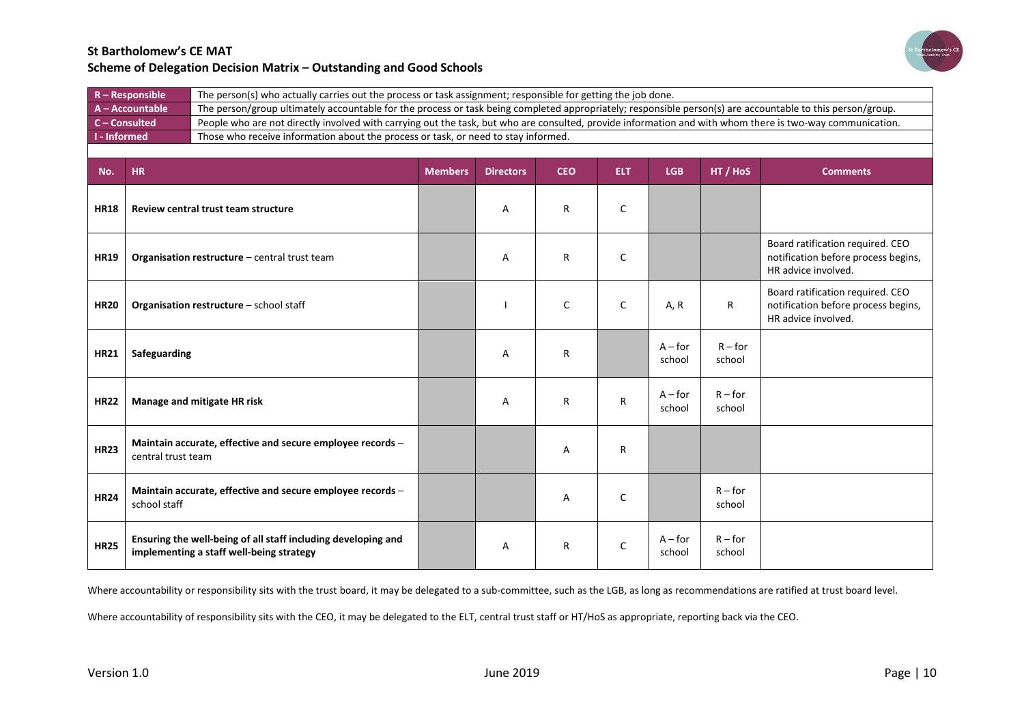

| $R -$ Responsible | The person(s) who actually carries out the process or task assignment; responsible for getting the job done.                                               |
|-------------------|------------------------------------------------------------------------------------------------------------------------------------------------------------|
| $A - Accountable$ | The person/group ultimately accountable for the process or task being completed appropriately; responsible person(s) are accountable to this person/group. |
| $C$ – Consulted   | People who are not directly involved with carrying out the task, but who are consulted, provide information and with whom there is two-way communication.  |
| I - Informed      | Those who receive information about the process or task, or need to stay informed.                                                                         |
|                   |                                                                                                                                                            |

| No.         | <b>HR</b>                                                                                                 | <b>Members</b> | <b>Directors</b> | <b>CEO</b> | <b>ELT</b>   | <b>LGB</b>          | HT / HoS            | <b>Comments</b>                                                                                |
|-------------|-----------------------------------------------------------------------------------------------------------|----------------|------------------|------------|--------------|---------------------|---------------------|------------------------------------------------------------------------------------------------|
| <b>HR18</b> | Review central trust team structure                                                                       |                | A                | R          | C            |                     |                     |                                                                                                |
| <b>HR19</b> | Organisation restructure - central trust team                                                             |                | Α                | R          | C            |                     |                     | Board ratification required. CEO<br>notification before process begins,<br>HR advice involved. |
| <b>HR20</b> | Organisation restructure - school staff                                                                   |                |                  | C          | C            | A, R                | $\mathsf{R}$        | Board ratification required. CEO<br>notification before process begins,<br>HR advice involved. |
| <b>HR21</b> | Safeguarding                                                                                              |                | A                | R          |              | $A$ – for<br>school | $R$ – for<br>school |                                                                                                |
| <b>HR22</b> | Manage and mitigate HR risk                                                                               |                | A                | R          | $\mathsf{R}$ | $A$ – for<br>school | $R$ – for<br>school |                                                                                                |
| <b>HR23</b> | Maintain accurate, effective and secure employee records -<br>central trust team                          |                |                  | А          | R            |                     |                     |                                                                                                |
| <b>HR24</b> | Maintain accurate, effective and secure employee records -<br>school staff                                |                |                  | Α          | C            |                     | $R$ – for<br>school |                                                                                                |
| <b>HR25</b> | Ensuring the well-being of all staff including developing and<br>implementing a staff well-being strategy |                | A                | R          | C            | $A$ – for<br>school | $R$ – for<br>school |                                                                                                |

Where accountability or responsibility sits with the trust board, it may be delegated to a sub-committee, such as the LGB, as long as recommendations are ratified at trust board level.

Where accountability of responsibility sits with the CEO, it may be delegated to the ELT, central trust staff or HT/HoS as appropriate, reporting back via the CEO.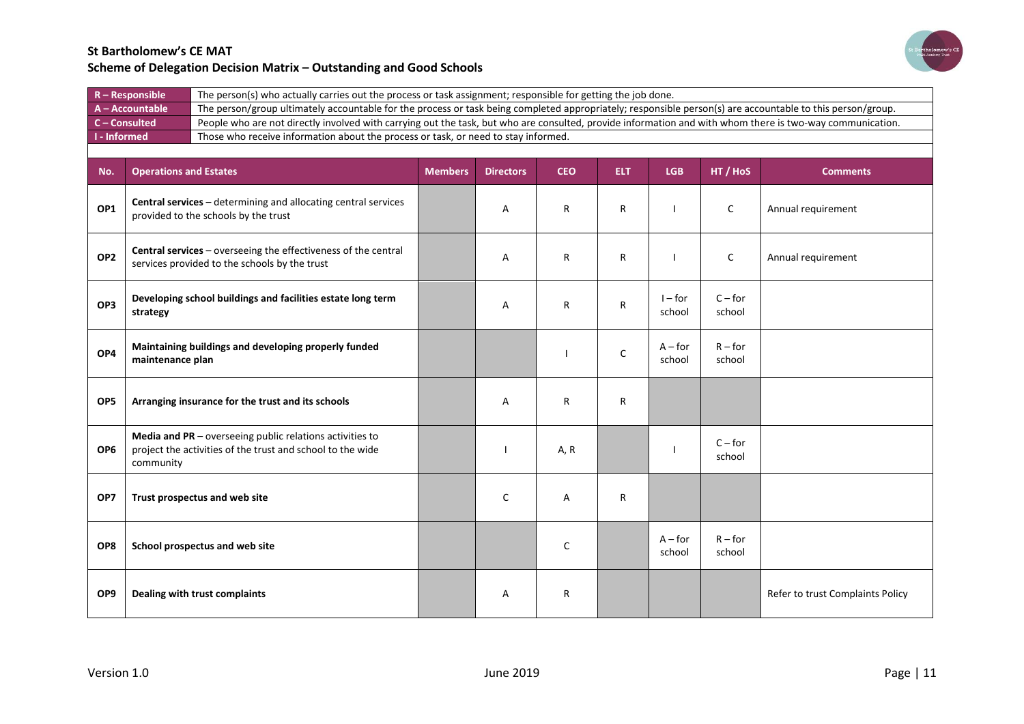

|                 | $R -$ Responsible<br>The person(s) who actually carries out the process or task assignment; responsible for getting the job done. |                                                                                                                                                            |                |                  |            |              |                     |                     |                                  |
|-----------------|-----------------------------------------------------------------------------------------------------------------------------------|------------------------------------------------------------------------------------------------------------------------------------------------------------|----------------|------------------|------------|--------------|---------------------|---------------------|----------------------------------|
|                 | A - Accountable                                                                                                                   | The person/group ultimately accountable for the process or task being completed appropriately; responsible person(s) are accountable to this person/group. |                |                  |            |              |                     |                     |                                  |
|                 | C - Consulted                                                                                                                     | People who are not directly involved with carrying out the task, but who are consulted, provide information and with whom there is two-way communication.  |                |                  |            |              |                     |                     |                                  |
| - Informed      |                                                                                                                                   | Those who receive information about the process or task, or need to stay informed.                                                                         |                |                  |            |              |                     |                     |                                  |
|                 |                                                                                                                                   |                                                                                                                                                            |                |                  |            |              |                     |                     |                                  |
| No.             | <b>Operations and Estates</b>                                                                                                     |                                                                                                                                                            | <b>Members</b> | <b>Directors</b> | <b>CEO</b> | <b>ELT</b>   | <b>LGB</b>          | HT / HoS            | <b>Comments</b>                  |
| OP1             |                                                                                                                                   | Central services - determining and allocating central services<br>provided to the schools by the trust                                                     |                | Α                | R          | $\mathsf{R}$ |                     | C                   | Annual requirement               |
| OP <sub>2</sub> |                                                                                                                                   | Central services - overseeing the effectiveness of the central<br>services provided to the schools by the trust                                            |                | Α                | R          | R            |                     | C                   | Annual requirement               |
| OP3             | strategy                                                                                                                          | Developing school buildings and facilities estate long term                                                                                                |                | Α                | R          | R            | $I$ – for<br>school | $C$ – for<br>school |                                  |
| OP4             | maintenance plan                                                                                                                  | Maintaining buildings and developing properly funded                                                                                                       |                |                  |            | C            | $A$ – for<br>school | $R$ – for<br>school |                                  |
| OP <sub>5</sub> |                                                                                                                                   | Arranging insurance for the trust and its schools                                                                                                          |                | Α                | R          | R            |                     |                     |                                  |
| OP <sub>6</sub> | community                                                                                                                         | Media and PR - overseeing public relations activities to<br>project the activities of the trust and school to the wide                                     |                |                  | A, R       |              |                     | $C$ – for<br>school |                                  |
| OP7             |                                                                                                                                   | Trust prospectus and web site                                                                                                                              |                | C                | Α          | R            |                     |                     |                                  |
| OP8             |                                                                                                                                   | School prospectus and web site                                                                                                                             |                |                  | C          |              | $A$ – for<br>school | $R$ – for<br>school |                                  |
| OP <sub>9</sub> |                                                                                                                                   | Dealing with trust complaints                                                                                                                              |                | Α                | R          |              |                     |                     | Refer to trust Complaints Policy |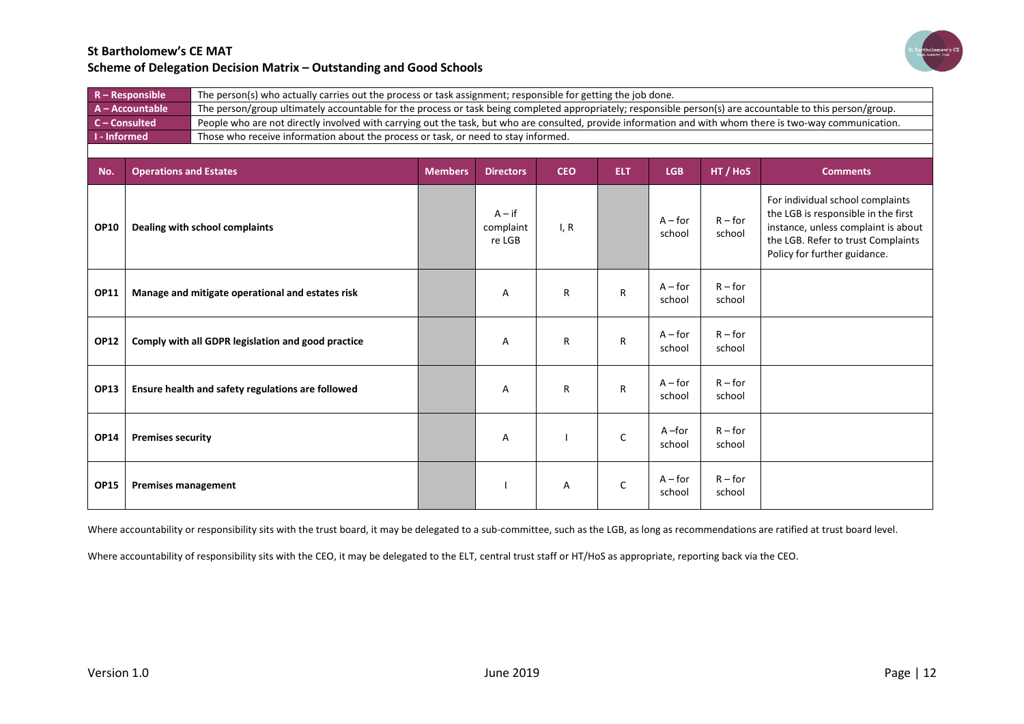

| $R -$ Responsible | The person(s) who actually carries out the process or task assignment; responsible for getting the job done.                                               |
|-------------------|------------------------------------------------------------------------------------------------------------------------------------------------------------|
| A - Accountable   | The person/group ultimately accountable for the process or task being completed appropriately; responsible person(s) are accountable to this person/group. |
| $C$ – Consulted   | People who are not directly involved with carrying out the task, but who are consulted, provide information and with whom there is two-way communication.  |
| I - Informed      | Those who receive information about the process or task, or need to stay informed.                                                                         |
|                   |                                                                                                                                                            |

| No.         | <b>Operations and Estates</b>                      | <b>Members</b> | <b>Directors</b>                | <b>CEO</b> | <b>ELT</b>   | <b>LGB</b>          | HT / HoS            | <b>Comments</b>                                                                                                                                                                      |
|-------------|----------------------------------------------------|----------------|---------------------------------|------------|--------------|---------------------|---------------------|--------------------------------------------------------------------------------------------------------------------------------------------------------------------------------------|
| <b>OP10</b> | Dealing with school complaints                     |                | $A - if$<br>complaint<br>re LGB | I, R       |              | $A$ – for<br>school | $R$ – for<br>school | For individual school complaints<br>the LGB is responsible in the first<br>instance, unless complaint is about<br>the LGB. Refer to trust Complaints<br>Policy for further guidance. |
| <b>OP11</b> | Manage and mitigate operational and estates risk   |                | A                               | R          | R            | $A$ – for<br>school | $R$ – for<br>school |                                                                                                                                                                                      |
| <b>OP12</b> | Comply with all GDPR legislation and good practice |                | A                               | R          | $\mathsf{R}$ | $A$ – for<br>school | $R$ – for<br>school |                                                                                                                                                                                      |
| <b>OP13</b> | Ensure health and safety regulations are followed  |                | Α                               | R          | R            | $A$ – for<br>school | $R$ – for<br>school |                                                                                                                                                                                      |
| <b>OP14</b> | <b>Premises security</b>                           |                | Α                               |            | C            | $A$ –for<br>school  | $R$ – for<br>school |                                                                                                                                                                                      |
| <b>OP15</b> | <b>Premises management</b>                         |                |                                 | Α          | C            | $A$ – for<br>school | $R$ – for<br>school |                                                                                                                                                                                      |

Where accountability or responsibility sits with the trust board, it may be delegated to a sub-committee, such as the LGB, as long as recommendations are ratified at trust board level.

Where accountability of responsibility sits with the CEO, it may be delegated to the ELT, central trust staff or HT/HoS as appropriate, reporting back via the CEO.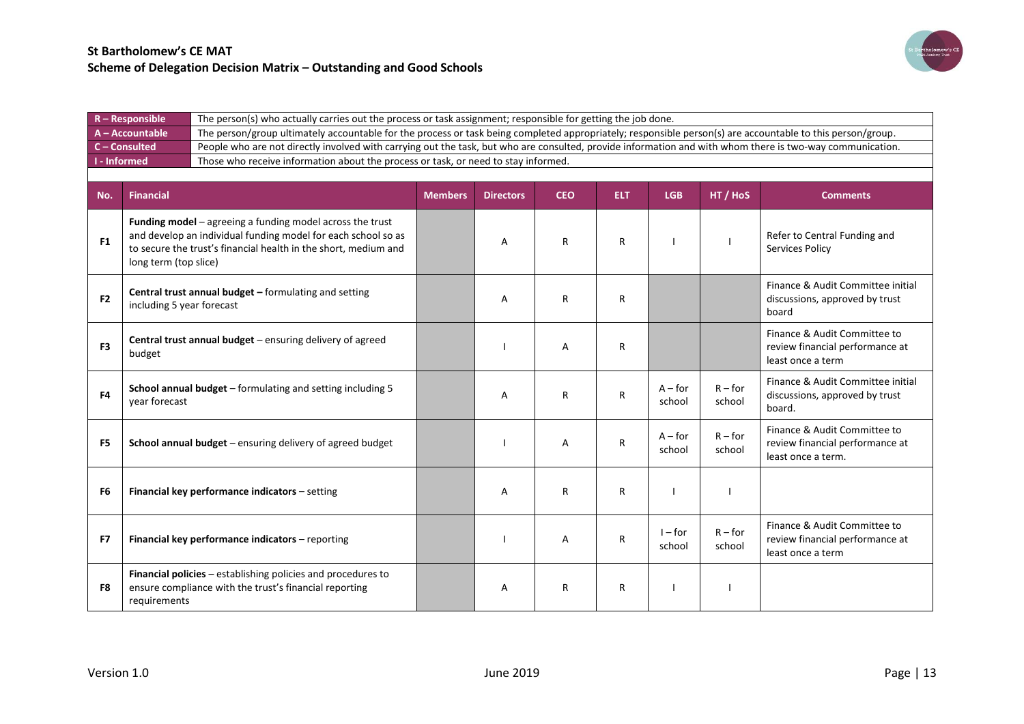

|                | $R -$ Responsible                                                                                  | The person(s) who actually carries out the process or task assignment; responsible for getting the job done.                                                                                           |                |                  |            |            |                     |                     |                                                                                       |  |
|----------------|----------------------------------------------------------------------------------------------------|--------------------------------------------------------------------------------------------------------------------------------------------------------------------------------------------------------|----------------|------------------|------------|------------|---------------------|---------------------|---------------------------------------------------------------------------------------|--|
|                | A - Accountable                                                                                    | The person/group ultimately accountable for the process or task being completed appropriately; responsible person(s) are accountable to this person/group.                                             |                |                  |            |            |                     |                     |                                                                                       |  |
|                | $C$ – Consulted                                                                                    | People who are not directly involved with carrying out the task, but who are consulted, provide information and with whom there is two-way communication.                                              |                |                  |            |            |                     |                     |                                                                                       |  |
|                | I - Informed<br>Those who receive information about the process or task, or need to stay informed. |                                                                                                                                                                                                        |                |                  |            |            |                     |                     |                                                                                       |  |
|                |                                                                                                    |                                                                                                                                                                                                        |                |                  |            |            |                     |                     |                                                                                       |  |
| No.            | <b>Financial</b>                                                                                   |                                                                                                                                                                                                        | <b>Members</b> | <b>Directors</b> | <b>CEO</b> | <b>ELT</b> | <b>LGB</b>          | HT / HoS            | <b>Comments</b>                                                                       |  |
| F <sub>1</sub> | long term (top slice)                                                                              | <b>Funding model</b> $-$ agreeing a funding model across the trust<br>and develop an individual funding model for each school so as<br>to secure the trust's financial health in the short, medium and |                | А                | R          | R          |                     |                     | Refer to Central Funding and<br><b>Services Policy</b>                                |  |
| F <sub>2</sub> | including 5 year forecast                                                                          | Central trust annual budget - formulating and setting                                                                                                                                                  |                | A                | R          | R          |                     |                     | Finance & Audit Committee initial<br>discussions, approved by trust<br>board          |  |
| F <sub>3</sub> | budget                                                                                             | Central trust annual budget - ensuring delivery of agreed                                                                                                                                              |                |                  | Α          | R          |                     |                     | Finance & Audit Committee to<br>review financial performance at<br>least once a term  |  |
| F <sub>4</sub> | year forecast                                                                                      | School annual budget - formulating and setting including 5                                                                                                                                             |                | A                | R          | R          | $A$ – for<br>school | $R$ – for<br>school | Finance & Audit Committee initial<br>discussions, approved by trust<br>board.         |  |
| F <sub>5</sub> |                                                                                                    | School annual budget - ensuring delivery of agreed budget                                                                                                                                              |                |                  | Α          | R          | $A$ – for<br>school | $R$ – for<br>school | Finance & Audit Committee to<br>review financial performance at<br>least once a term. |  |
| F <sub>6</sub> |                                                                                                    | Financial key performance indicators - setting                                                                                                                                                         |                | A                | R          | R          |                     |                     |                                                                                       |  |
| F7             |                                                                                                    | Financial key performance indicators - reporting                                                                                                                                                       |                |                  | Α          | R          | $I$ – for<br>school | $R$ – for<br>school | Finance & Audit Committee to<br>review financial performance at<br>least once a term  |  |
| F8             | requirements                                                                                       | Financial policies - establishing policies and procedures to<br>ensure compliance with the trust's financial reporting                                                                                 |                | A                | R          | R          |                     |                     |                                                                                       |  |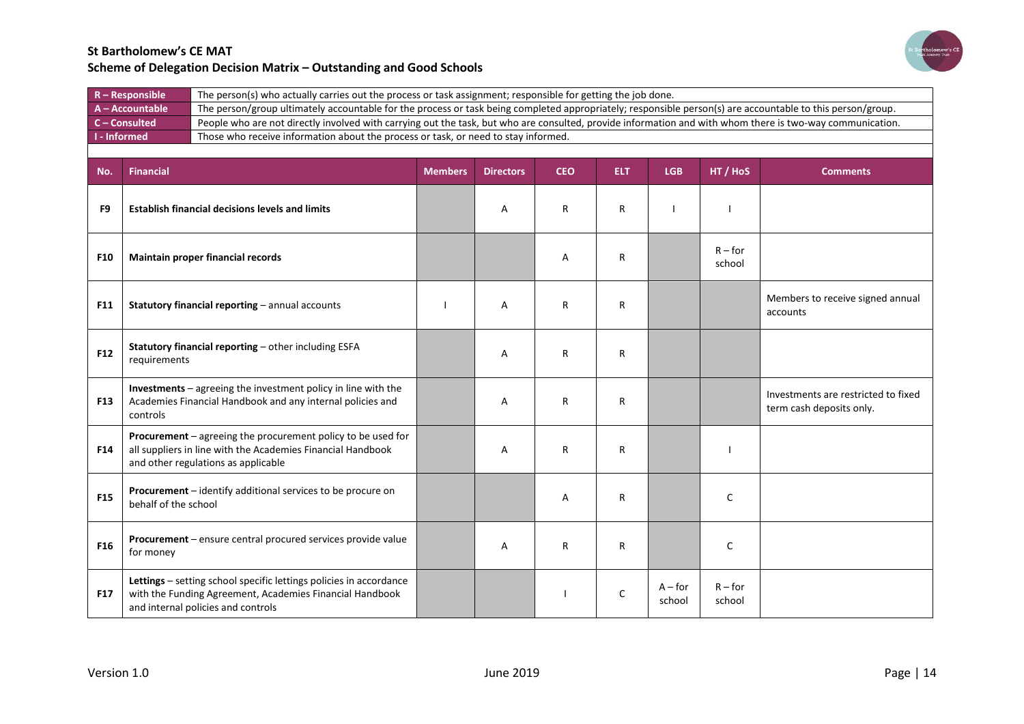

| $R -$ Responsible | The person(s) who actually carries out the process or task assignment; responsible for getting the job done.                                               |
|-------------------|------------------------------------------------------------------------------------------------------------------------------------------------------------|
| A-Accountable     | The person/group ultimately accountable for the process or task being completed appropriately; responsible person(s) are accountable to this person/group. |
| $C$ – Consulted   | People who are not directly involved with carrying out the task, but who are consulted, provide information and with whom there is two-way communication.  |
| I - Informed      | Those who receive information about the process or task, or need to stay informed.                                                                         |
|                   |                                                                                                                                                            |

| No.             | <b>Financial</b>                                                                                                                                                     | <b>Members</b> | <b>Directors</b> | <b>CEO</b> | <b>ELT</b> | <b>LGB</b>          | HT / HoS            | <b>Comments</b>                                                 |
|-----------------|----------------------------------------------------------------------------------------------------------------------------------------------------------------------|----------------|------------------|------------|------------|---------------------|---------------------|-----------------------------------------------------------------|
| F <sub>9</sub>  | <b>Establish financial decisions levels and limits</b>                                                                                                               |                | A                | R          | R          |                     |                     |                                                                 |
| <b>F10</b>      | Maintain proper financial records                                                                                                                                    |                |                  | Α          | R          |                     | $R$ – for<br>school |                                                                 |
| <b>F11</b>      | Statutory financial reporting - annual accounts                                                                                                                      |                | A                | R          | R          |                     |                     | Members to receive signed annual<br>accounts                    |
| F12             | Statutory financial reporting - other including ESFA<br>requirements                                                                                                 |                | A                | R          | R          |                     |                     |                                                                 |
| <b>F13</b>      | Investments - agreeing the investment policy in line with the<br>Academies Financial Handbook and any internal policies and<br>controls                              |                | A                | R          | R          |                     |                     | Investments are restricted to fixed<br>term cash deposits only. |
| F14             | Procurement - agreeing the procurement policy to be used for<br>all suppliers in line with the Academies Financial Handbook<br>and other regulations as applicable   |                | A                | R          | R          |                     |                     |                                                                 |
| <b>F15</b>      | Procurement - identify additional services to be procure on<br>behalf of the school                                                                                  |                |                  | Α          | R          |                     | $\mathsf{C}$        |                                                                 |
| F <sub>16</sub> | Procurement - ensure central procured services provide value<br>for money                                                                                            |                | A                | R          | R          |                     | $\mathsf{C}$        |                                                                 |
| <b>F17</b>      | Lettings - setting school specific lettings policies in accordance<br>with the Funding Agreement, Academies Financial Handbook<br>and internal policies and controls |                |                  |            | C          | $A$ – for<br>school | $R$ – for<br>school |                                                                 |